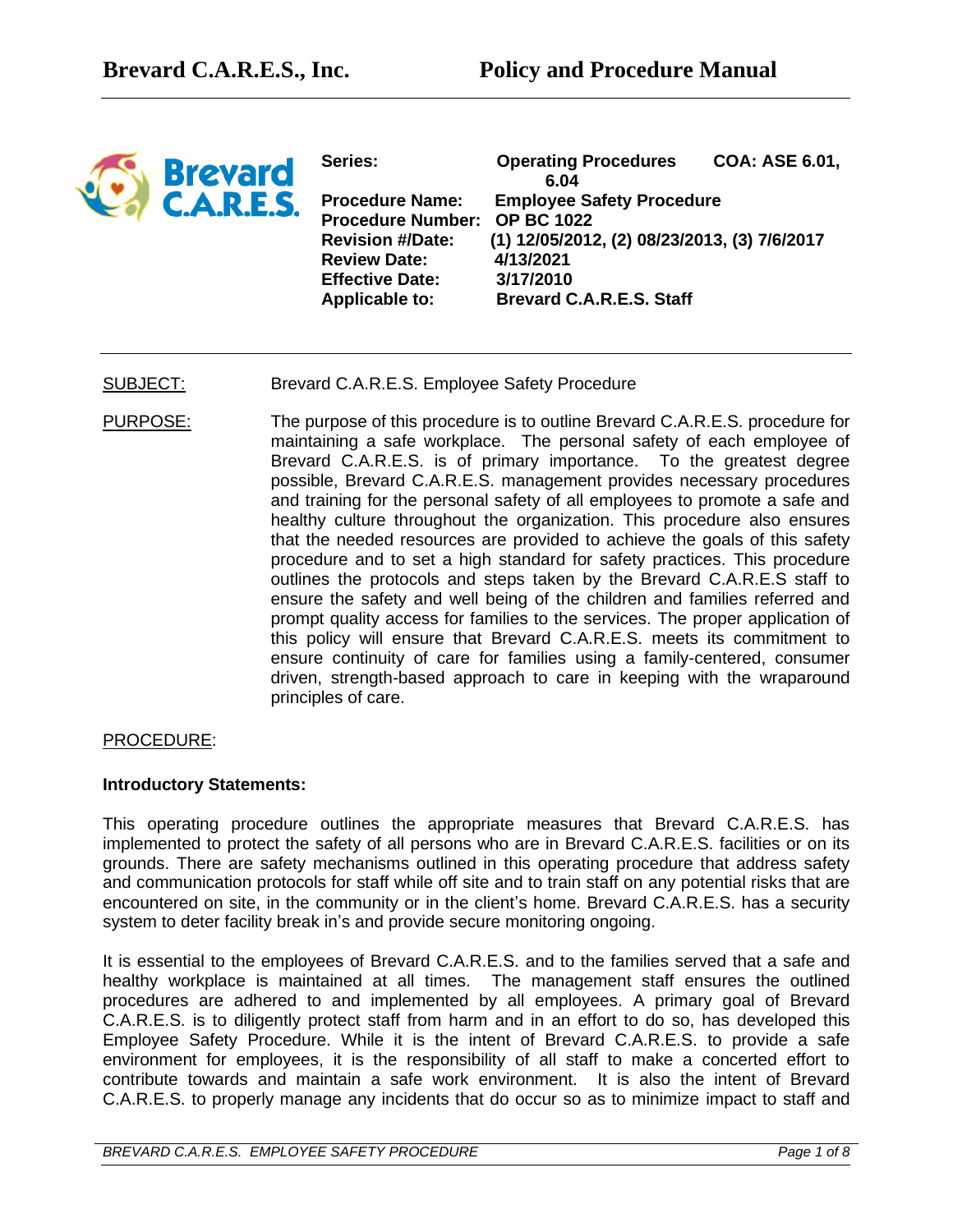

**Series: Operating Procedures COA: ASE 6.01, 6.04 Procedure Name: Employee Safety Procedure Procedure Number: OP BC 1022 Revision #/Date: (1) 12/05/2012, (2) 08/23/2013, (3) 7/6/2017 Review Date: 4/13/2021 Effective Date: 3/17/2010 Applicable to: Brevard C.A.R.E.S. Staff**

## SUBJECT: Brevard C.A.R.E.S. Employee Safety Procedure

PURPOSE: The purpose of this procedure is to outline Brevard C.A.R.E.S. procedure for maintaining a safe workplace. The personal safety of each employee of Brevard C.A.R.E.S. is of primary importance. To the greatest degree possible, Brevard C.A.R.E.S. management provides necessary procedures and training for the personal safety of all employees to promote a safe and healthy culture throughout the organization. This procedure also ensures that the needed resources are provided to achieve the goals of this safety procedure and to set a high standard for safety practices. This procedure outlines the protocols and steps taken by the Brevard C.A.R.E.S staff to ensure the safety and well being of the children and families referred and prompt quality access for families to the services. The proper application of this policy will ensure that Brevard C.A.R.E.S. meets its commitment to ensure continuity of care for families using a family-centered, consumer driven, strength-based approach to care in keeping with the wraparound principles of care.

#### PROCEDURE:

#### **Introductory Statements:**

This operating procedure outlines the appropriate measures that Brevard C.A.R.E.S. has implemented to protect the safety of all persons who are in Brevard C.A.R.E.S. facilities or on its grounds. There are safety mechanisms outlined in this operating procedure that address safety and communication protocols for staff while off site and to train staff on any potential risks that are encountered on site, in the community or in the client's home. Brevard C.A.R.E.S. has a security system to deter facility break in's and provide secure monitoring ongoing.

It is essential to the employees of Brevard C.A.R.E.S. and to the families served that a safe and healthy workplace is maintained at all times. The management staff ensures the outlined procedures are adhered to and implemented by all employees. A primary goal of Brevard C.A.R.E.S. is to diligently protect staff from harm and in an effort to do so, has developed this Employee Safety Procedure. While it is the intent of Brevard C.A.R.E.S. to provide a safe environment for employees, it is the responsibility of all staff to make a concerted effort to contribute towards and maintain a safe work environment. It is also the intent of Brevard C.A.R.E.S. to properly manage any incidents that do occur so as to minimize impact to staff and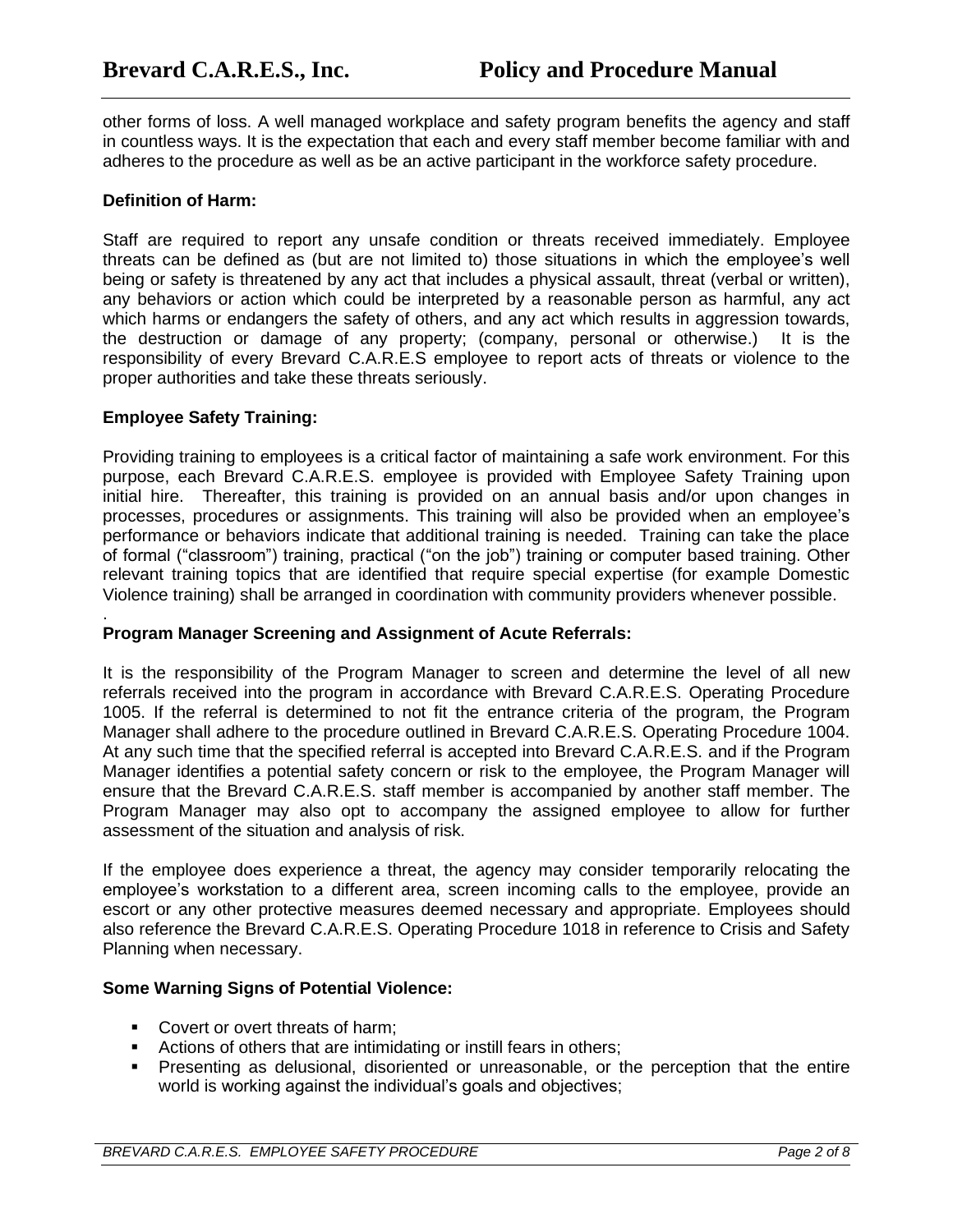other forms of loss. A well managed workplace and safety program benefits the agency and staff in countless ways. It is the expectation that each and every staff member become familiar with and adheres to the procedure as well as be an active participant in the workforce safety procedure.

## **Definition of Harm:**

Staff are required to report any unsafe condition or threats received immediately. Employee threats can be defined as (but are not limited to) those situations in which the employee's well being or safety is threatened by any act that includes a physical assault, threat (verbal or written), any behaviors or action which could be interpreted by a reasonable person as harmful, any act which harms or endangers the safety of others, and any act which results in aggression towards, the destruction or damage of any property; (company, personal or otherwise.) It is the responsibility of every Brevard C.A.R.E.S employee to report acts of threats or violence to the proper authorities and take these threats seriously.

## **Employee Safety Training:**

Providing training to employees is a critical factor of maintaining a safe work environment. For this purpose, each Brevard C.A.R.E.S. employee is provided with Employee Safety Training upon initial hire. Thereafter, this training is provided on an annual basis and/or upon changes in processes, procedures or assignments. This training will also be provided when an employee's performance or behaviors indicate that additional training is needed. Training can take the place of formal ("classroom") training, practical ("on the job") training or computer based training. Other relevant training topics that are identified that require special expertise (for example Domestic Violence training) shall be arranged in coordination with community providers whenever possible.

#### . **Program Manager Screening and Assignment of Acute Referrals:**

It is the responsibility of the Program Manager to screen and determine the level of all new referrals received into the program in accordance with Brevard C.A.R.E.S. Operating Procedure 1005. If the referral is determined to not fit the entrance criteria of the program, the Program Manager shall adhere to the procedure outlined in Brevard C.A.R.E.S. Operating Procedure 1004. At any such time that the specified referral is accepted into Brevard C.A.R.E.S. and if the Program Manager identifies a potential safety concern or risk to the employee, the Program Manager will ensure that the Brevard C.A.R.E.S. staff member is accompanied by another staff member. The Program Manager may also opt to accompany the assigned employee to allow for further assessment of the situation and analysis of risk.

If the employee does experience a threat, the agency may consider temporarily relocating the employee's workstation to a different area, screen incoming calls to the employee, provide an escort or any other protective measures deemed necessary and appropriate. Employees should also reference the Brevard C.A.R.E.S. Operating Procedure 1018 in reference to Crisis and Safety Planning when necessary.

# **Some Warning Signs of Potential Violence:**

- Covert or overt threats of harm;
- Actions of others that are intimidating or instill fears in others;
- Presenting as delusional, disoriented or unreasonable, or the perception that the entire world is working against the individual's goals and objectives;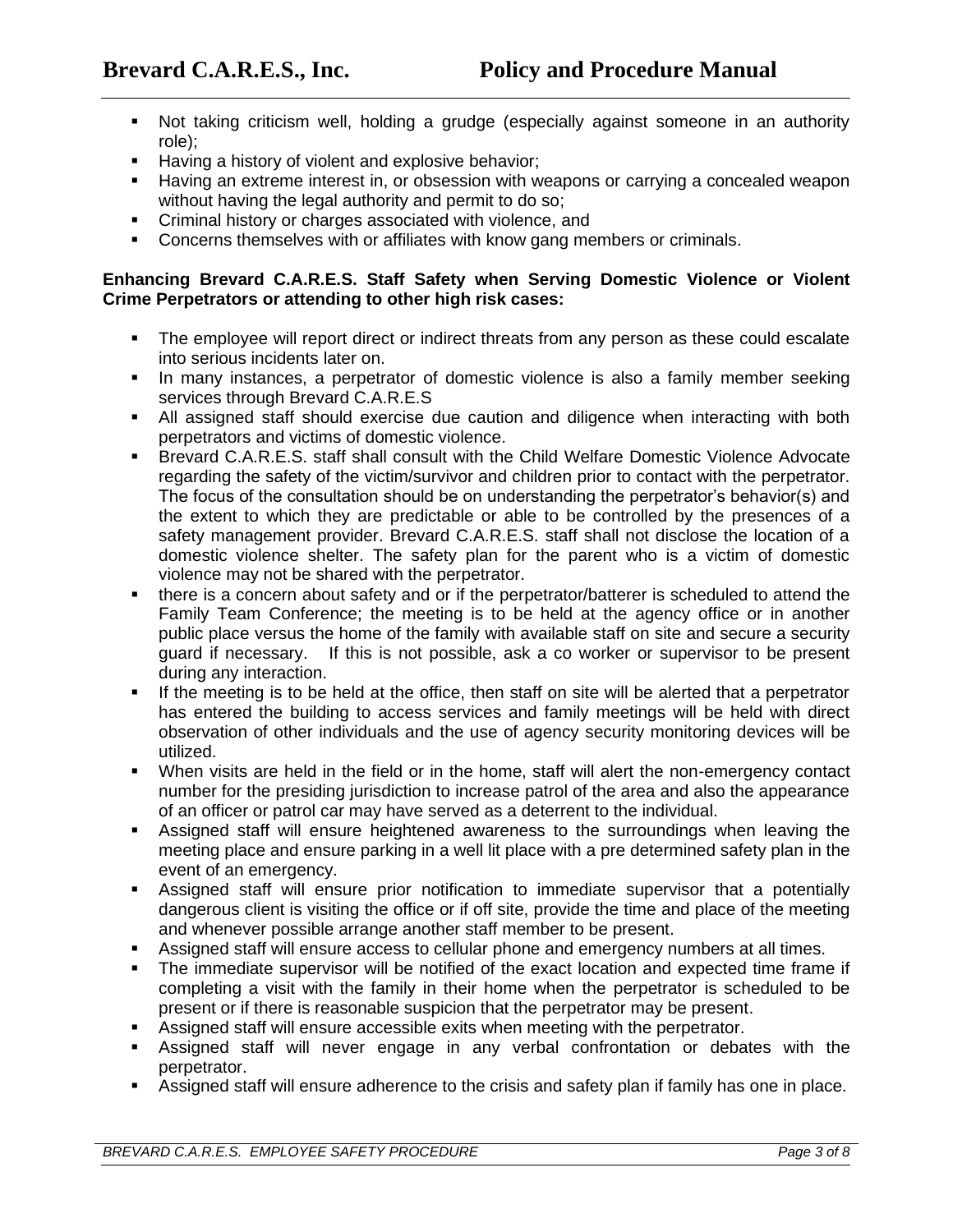- Not taking criticism well, holding a grudge (especially against someone in an authority role);
- Having a history of violent and explosive behavior;
- Having an extreme interest in, or obsession with weapons or carrying a concealed weapon without having the legal authority and permit to do so;
- Criminal history or charges associated with violence, and
- Concerns themselves with or affiliates with know gang members or criminals.

## **Enhancing Brevard C.A.R.E.S. Staff Safety when Serving Domestic Violence or Violent Crime Perpetrators or attending to other high risk cases:**

- The employee will report direct or indirect threats from any person as these could escalate into serious incidents later on.
- In many instances, a perpetrator of domestic violence is also a family member seeking services through Brevard C.A.R.E.S
- All assigned staff should exercise due caution and diligence when interacting with both perpetrators and victims of domestic violence.
- Brevard C.A.R.E.S. staff shall consult with the Child Welfare Domestic Violence Advocate regarding the safety of the victim/survivor and children prior to contact with the perpetrator. The focus of the consultation should be on understanding the perpetrator's behavior(s) and the extent to which they are predictable or able to be controlled by the presences of a safety management provider. Brevard C.A.R.E.S. staff shall not disclose the location of a domestic violence shelter. The safety plan for the parent who is a victim of domestic violence may not be shared with the perpetrator.
- **•** there is a concern about safety and or if the perpetrator/batterer is scheduled to attend the Family Team Conference; the meeting is to be held at the agency office or in another public place versus the home of the family with available staff on site and secure a security guard if necessary. If this is not possible, ask a co worker or supervisor to be present during any interaction.
- If the meeting is to be held at the office, then staff on site will be alerted that a perpetrator has entered the building to access services and family meetings will be held with direct observation of other individuals and the use of agency security monitoring devices will be utilized.
- When visits are held in the field or in the home, staff will alert the non-emergency contact number for the presiding jurisdiction to increase patrol of the area and also the appearance of an officer or patrol car may have served as a deterrent to the individual.
- **EXE** Assigned staff will ensure heightened awareness to the surroundings when leaving the meeting place and ensure parking in a well lit place with a pre determined safety plan in the event of an emergency.
- **EXECT** Assigned staff will ensure prior notification to immediate supervisor that a potentially dangerous client is visiting the office or if off site, provide the time and place of the meeting and whenever possible arrange another staff member to be present.
- Assigned staff will ensure access to cellular phone and emergency numbers at all times.
- The immediate supervisor will be notified of the exact location and expected time frame if completing a visit with the family in their home when the perpetrator is scheduled to be present or if there is reasonable suspicion that the perpetrator may be present.
- Assigned staff will ensure accessible exits when meeting with the perpetrator.
- Assigned staff will never engage in any verbal confrontation or debates with the perpetrator.
- Assigned staff will ensure adherence to the crisis and safety plan if family has one in place.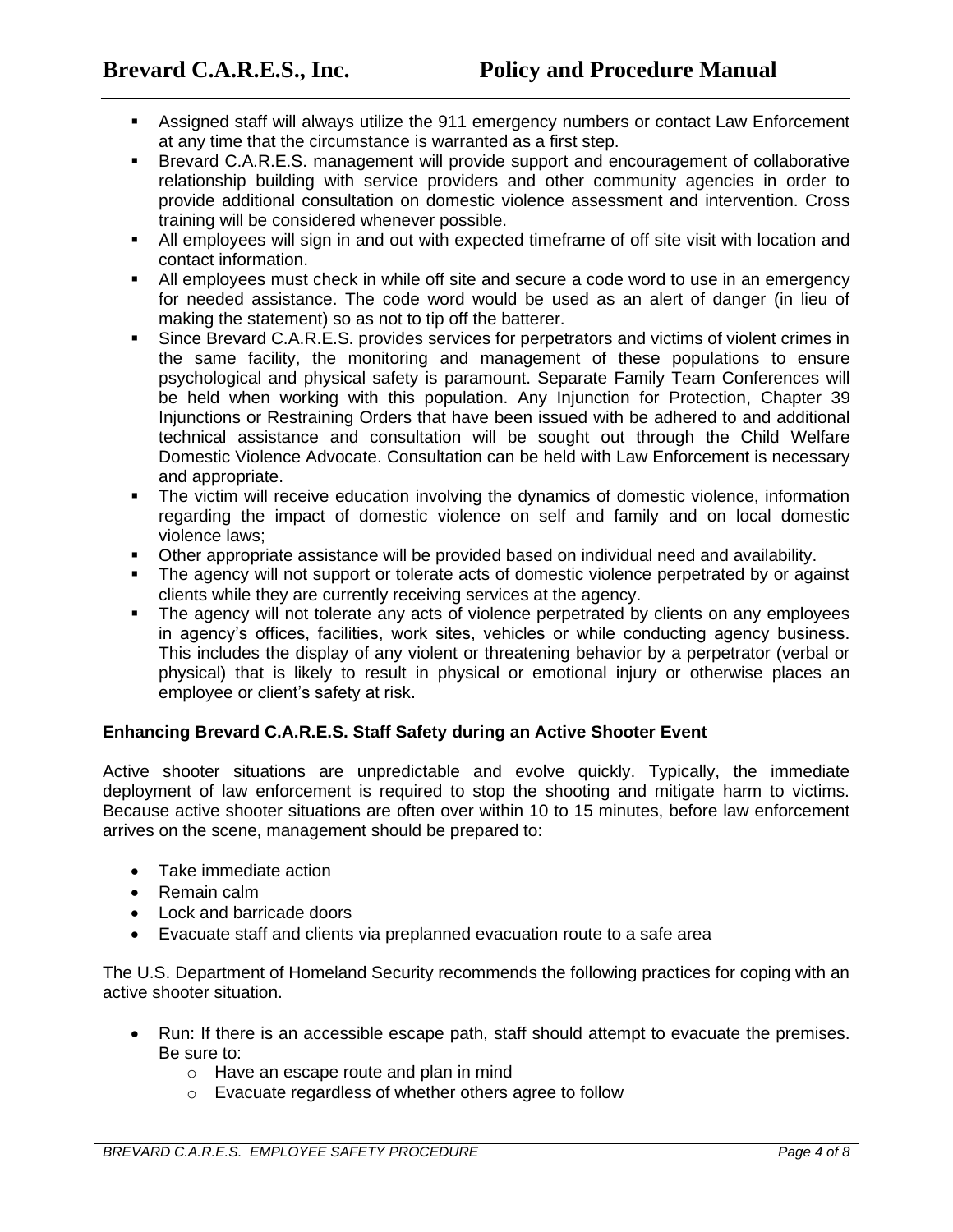- Assigned staff will always utilize the 911 emergency numbers or contact Law Enforcement at any time that the circumstance is warranted as a first step.
- **EXECT** Brevard C.A.R.E.S. management will provide support and encouragement of collaborative relationship building with service providers and other community agencies in order to provide additional consultation on domestic violence assessment and intervention. Cross training will be considered whenever possible.
- All employees will sign in and out with expected timeframe of off site visit with location and contact information.
- All employees must check in while off site and secure a code word to use in an emergency for needed assistance. The code word would be used as an alert of danger (in lieu of making the statement) so as not to tip off the batterer.
- **•** Since Brevard C.A.R.E.S. provides services for perpetrators and victims of violent crimes in the same facility, the monitoring and management of these populations to ensure psychological and physical safety is paramount. Separate Family Team Conferences will be held when working with this population. Any Injunction for Protection, Chapter 39 Injunctions or Restraining Orders that have been issued with be adhered to and additional technical assistance and consultation will be sought out through the Child Welfare Domestic Violence Advocate. Consultation can be held with Law Enforcement is necessary and appropriate.
- **•** The victim will receive education involving the dynamics of domestic violence, information regarding the impact of domestic violence on self and family and on local domestic violence laws;
- Other appropriate assistance will be provided based on individual need and availability.
- The agency will not support or tolerate acts of domestic violence perpetrated by or against clients while they are currently receiving services at the agency.
- **•** The agency will not tolerate any acts of violence perpetrated by clients on any employees in agency's offices, facilities, work sites, vehicles or while conducting agency business. This includes the display of any violent or threatening behavior by a perpetrator (verbal or physical) that is likely to result in physical or emotional injury or otherwise places an employee or client's safety at risk.

# **Enhancing Brevard C.A.R.E.S. Staff Safety during an Active Shooter Event**

Active shooter situations are unpredictable and evolve quickly. Typically, the immediate deployment of law enforcement is required to stop the shooting and mitigate harm to victims. Because active shooter situations are often over within 10 to 15 minutes, before law enforcement arrives on the scene, management should be prepared to:

- Take immediate action
- Remain calm
- Lock and barricade doors
- Evacuate staff and clients via preplanned evacuation route to a safe area

The U.S. Department of Homeland Security recommends the following practices for coping with an active shooter situation.

- Run: If there is an accessible escape path, staff should attempt to evacuate the premises. Be sure to:
	- o Have an escape route and plan in mind
	- o Evacuate regardless of whether others agree to follow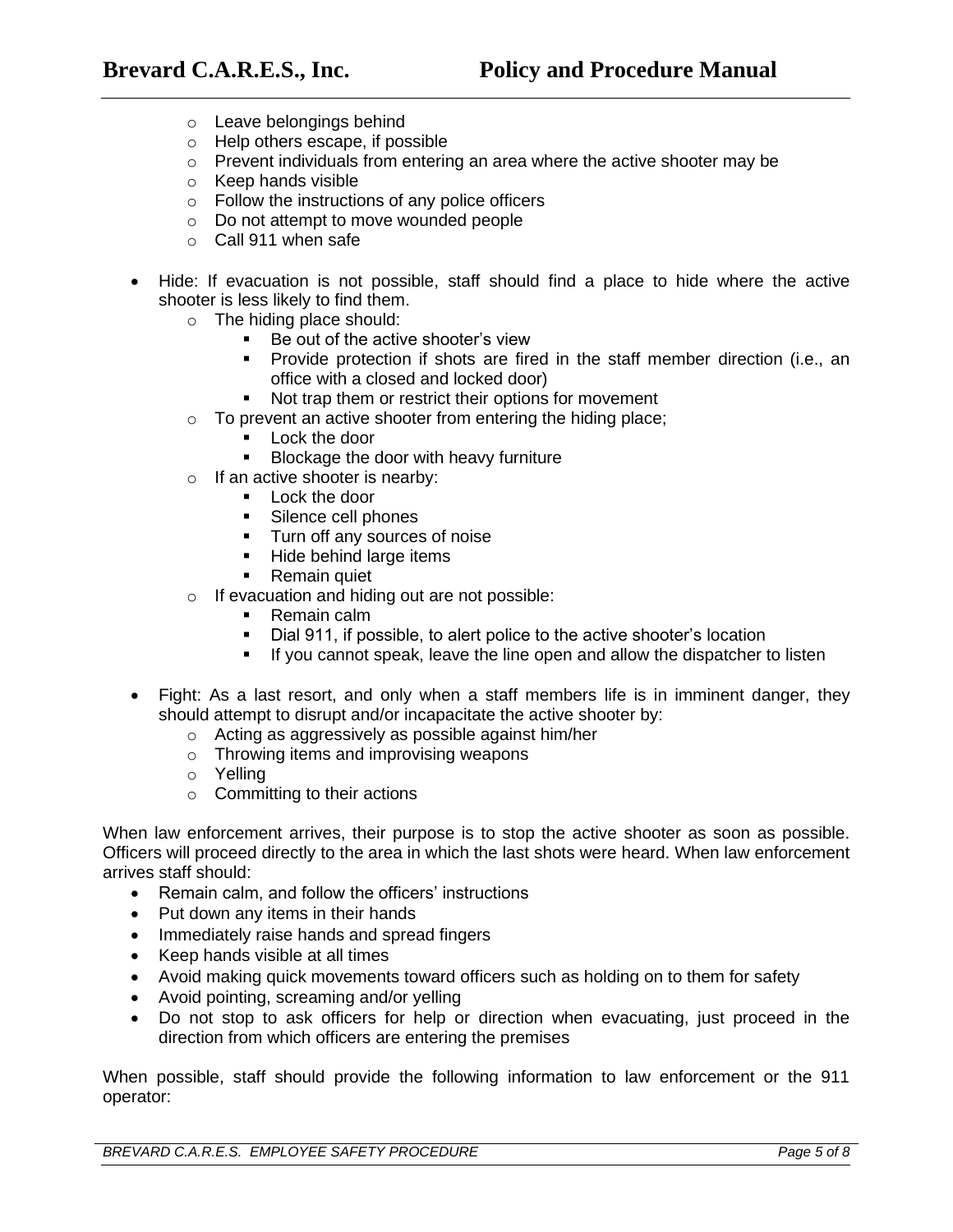- o Leave belongings behind
- o Help others escape, if possible
- o Prevent individuals from entering an area where the active shooter may be
- o Keep hands visible
- o Follow the instructions of any police officers
- o Do not attempt to move wounded people
- o Call 911 when safe
- Hide: If evacuation is not possible, staff should find a place to hide where the active shooter is less likely to find them.
	- o The hiding place should:
		- Be out of the active shooter's view
		- Provide protection if shots are fired in the staff member direction (i.e., an office with a closed and locked door)
		- Not trap them or restrict their options for movement
	- o To prevent an active shooter from entering the hiding place;
		- Lock the door
		- Blockage the door with heavy furniture
	- o If an active shooter is nearby:
		- Lock the door
		- Silence cell phones
		- Turn off any sources of noise
		- Hide behind large items
		- Remain quiet
	- o If evacuation and hiding out are not possible:
		- Remain calm
		- Dial 911, if possible, to alert police to the active shooter's location
		- If you cannot speak, leave the line open and allow the dispatcher to listen
- Fight: As a last resort, and only when a staff members life is in imminent danger, they should attempt to disrupt and/or incapacitate the active shooter by:
	- o Acting as aggressively as possible against him/her
	- o Throwing items and improvising weapons
	- o Yelling
	- o Committing to their actions

When law enforcement arrives, their purpose is to stop the active shooter as soon as possible. Officers will proceed directly to the area in which the last shots were heard. When law enforcement arrives staff should:

- Remain calm, and follow the officers' instructions
- Put down any items in their hands
- Immediately raise hands and spread fingers
- Keep hands visible at all times
- Avoid making quick movements toward officers such as holding on to them for safety
- Avoid pointing, screaming and/or yelling
- Do not stop to ask officers for help or direction when evacuating, just proceed in the direction from which officers are entering the premises

When possible, staff should provide the following information to law enforcement or the 911 operator: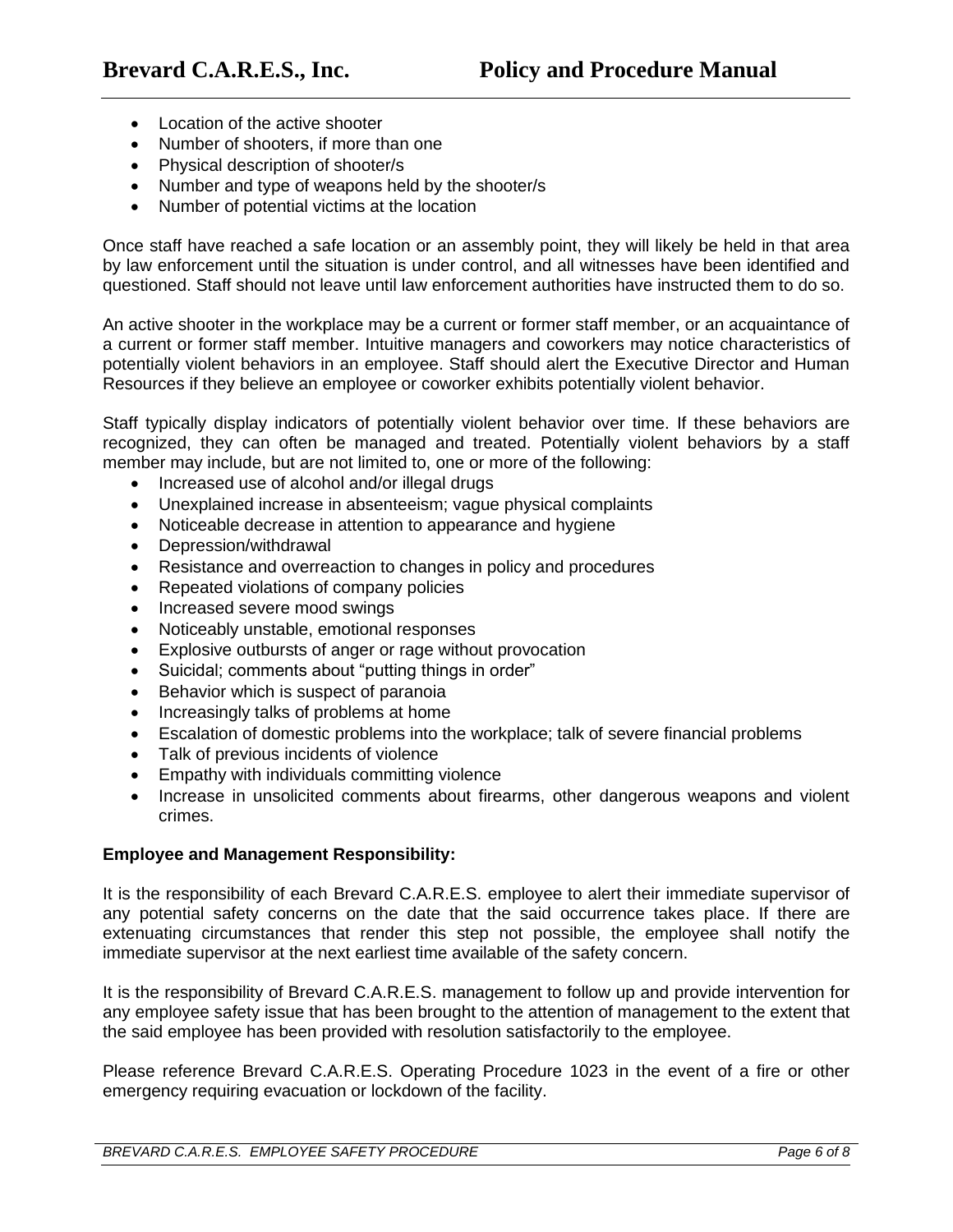- Location of the active shooter
- Number of shooters, if more than one
- Physical description of shooter/s
- Number and type of weapons held by the shooter/s
- Number of potential victims at the location

Once staff have reached a safe location or an assembly point, they will likely be held in that area by law enforcement until the situation is under control, and all witnesses have been identified and questioned. Staff should not leave until law enforcement authorities have instructed them to do so.

An active shooter in the workplace may be a current or former staff member, or an acquaintance of a current or former staff member. Intuitive managers and coworkers may notice characteristics of potentially violent behaviors in an employee. Staff should alert the Executive Director and Human Resources if they believe an employee or coworker exhibits potentially violent behavior.

Staff typically display indicators of potentially violent behavior over time. If these behaviors are recognized, they can often be managed and treated. Potentially violent behaviors by a staff member may include, but are not limited to, one or more of the following:

- Increased use of alcohol and/or illegal drugs
- Unexplained increase in absenteeism; vague physical complaints
- Noticeable decrease in attention to appearance and hygiene
- Depression/withdrawal
- Resistance and overreaction to changes in policy and procedures
- Repeated violations of company policies
- Increased severe mood swings
- Noticeably unstable, emotional responses
- Explosive outbursts of anger or rage without provocation
- Suicidal; comments about "putting things in order"
- Behavior which is suspect of paranoia
- Increasingly talks of problems at home
- Escalation of domestic problems into the workplace; talk of severe financial problems
- Talk of previous incidents of violence
- Empathy with individuals committing violence
- Increase in unsolicited comments about firearms, other dangerous weapons and violent crimes.

#### **Employee and Management Responsibility:**

It is the responsibility of each Brevard C.A.R.E.S. employee to alert their immediate supervisor of any potential safety concerns on the date that the said occurrence takes place. If there are extenuating circumstances that render this step not possible, the employee shall notify the immediate supervisor at the next earliest time available of the safety concern.

It is the responsibility of Brevard C.A.R.E.S. management to follow up and provide intervention for any employee safety issue that has been brought to the attention of management to the extent that the said employee has been provided with resolution satisfactorily to the employee.

Please reference Brevard C.A.R.E.S. Operating Procedure 1023 in the event of a fire or other emergency requiring evacuation or lockdown of the facility.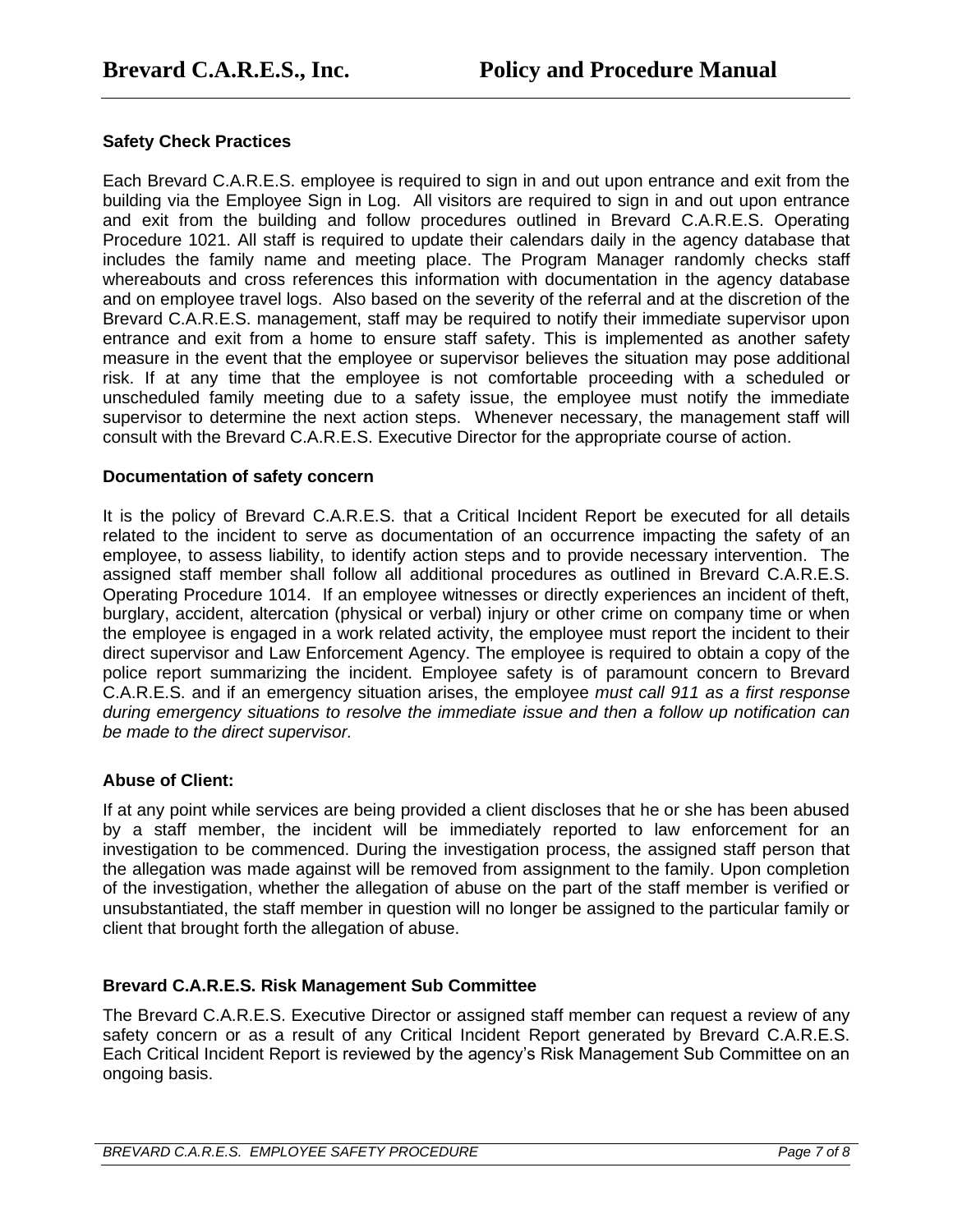# **Safety Check Practices**

Each Brevard C.A.R.E.S. employee is required to sign in and out upon entrance and exit from the building via the Employee Sign in Log. All visitors are required to sign in and out upon entrance and exit from the building and follow procedures outlined in Brevard C.A.R.E.S. Operating Procedure 1021. All staff is required to update their calendars daily in the agency database that includes the family name and meeting place. The Program Manager randomly checks staff whereabouts and cross references this information with documentation in the agency database and on employee travel logs. Also based on the severity of the referral and at the discretion of the Brevard C.A.R.E.S. management, staff may be required to notify their immediate supervisor upon entrance and exit from a home to ensure staff safety. This is implemented as another safety measure in the event that the employee or supervisor believes the situation may pose additional risk. If at any time that the employee is not comfortable proceeding with a scheduled or unscheduled family meeting due to a safety issue, the employee must notify the immediate supervisor to determine the next action steps. Whenever necessary, the management staff will consult with the Brevard C.A.R.E.S. Executive Director for the appropriate course of action.

## **Documentation of safety concern**

It is the policy of Brevard C.A.R.E.S. that a Critical Incident Report be executed for all details related to the incident to serve as documentation of an occurrence impacting the safety of an employee, to assess liability, to identify action steps and to provide necessary intervention. The assigned staff member shall follow all additional procedures as outlined in Brevard C.A.R.E.S. Operating Procedure 1014. If an employee witnesses or directly experiences an incident of theft, burglary, accident, altercation (physical or verbal) injury or other crime on company time or when the employee is engaged in a work related activity, the employee must report the incident to their direct supervisor and Law Enforcement Agency. The employee is required to obtain a copy of the police report summarizing the incident. Employee safety is of paramount concern to Brevard C.A.R.E.S. and if an emergency situation arises, the employee *must call 911 as a first response during emergency situations to resolve the immediate issue and then a follow up notification can be made to the direct supervisor.* 

# **Abuse of Client:**

If at any point while services are being provided a client discloses that he or she has been abused by a staff member, the incident will be immediately reported to law enforcement for an investigation to be commenced. During the investigation process, the assigned staff person that the allegation was made against will be removed from assignment to the family. Upon completion of the investigation, whether the allegation of abuse on the part of the staff member is verified or unsubstantiated, the staff member in question will no longer be assigned to the particular family or client that brought forth the allegation of abuse.

# **Brevard C.A.R.E.S. Risk Management Sub Committee**

The Brevard C.A.R.E.S. Executive Director or assigned staff member can request a review of any safety concern or as a result of any Critical Incident Report generated by Brevard C.A.R.E.S. Each Critical Incident Report is reviewed by the agency's Risk Management Sub Committee on an ongoing basis.